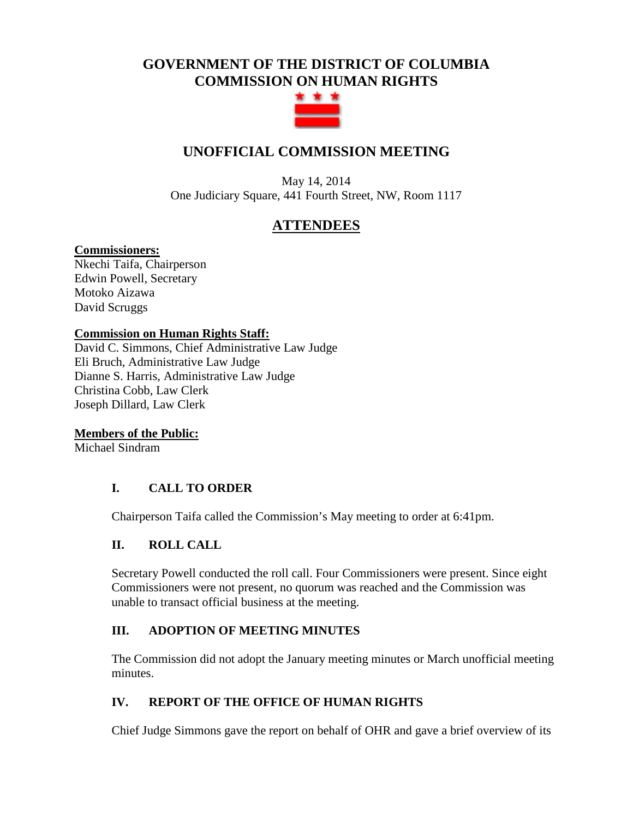# **GOVERNMENT OF THE DISTRICT OF COLUMBIA COMMISSION ON HUMAN RIGHTS**



# **UNOFFICIAL COMMISSION MEETING**

May 14, 2014 One Judiciary Square, 441 Fourth Street, NW, Room 1117

## **ATTENDEES**

## **Commissioners:**

Nkechi Taifa, Chairperson Edwin Powell, Secretary Motoko Aizawa David Scruggs

## **Commission on Human Rights Staff:**

David C. Simmons, Chief Administrative Law Judge Eli Bruch, Administrative Law Judge Dianne S. Harris, Administrative Law Judge Christina Cobb, Law Clerk Joseph Dillard, Law Clerk

## **Members of the Public:**

Michael Sindram

## **I. CALL TO ORDER**

Chairperson Taifa called the Commission's May meeting to order at 6:41pm.

## **II. ROLL CALL**

Secretary Powell conducted the roll call. Four Commissioners were present. Since eight Commissioners were not present, no quorum was reached and the Commission was unable to transact official business at the meeting.

## **III. ADOPTION OF MEETING MINUTES**

The Commission did not adopt the January meeting minutes or March unofficial meeting minutes.

## **IV. REPORT OF THE OFFICE OF HUMAN RIGHTS**

Chief Judge Simmons gave the report on behalf of OHR and gave a brief overview of its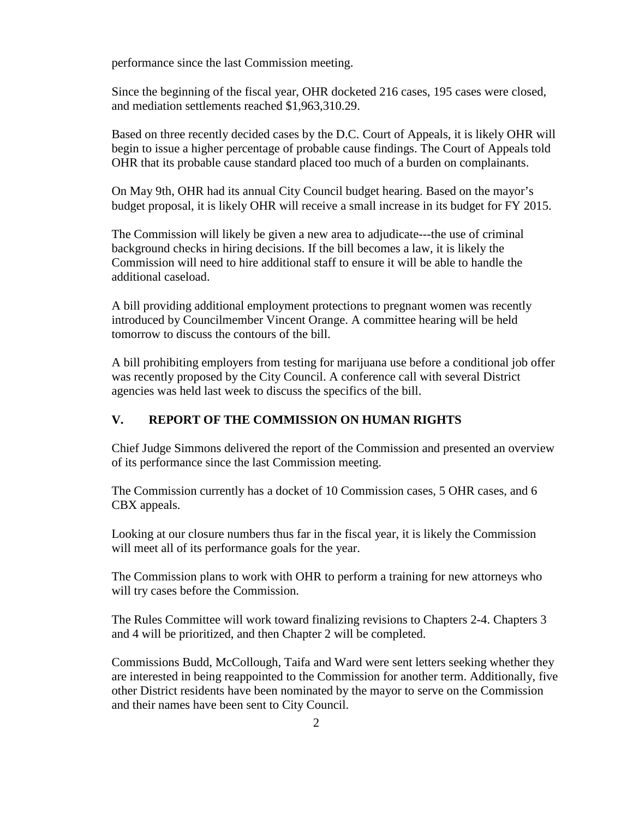performance since the last Commission meeting.

Since the beginning of the fiscal year, OHR docketed 216 cases, 195 cases were closed, and mediation settlements reached \$1,963,310.29.

Based on three recently decided cases by the D.C. Court of Appeals, it is likely OHR will begin to issue a higher percentage of probable cause findings. The Court of Appeals told OHR that its probable cause standard placed too much of a burden on complainants.

On May 9th, OHR had its annual City Council budget hearing. Based on the mayor's budget proposal, it is likely OHR will receive a small increase in its budget for FY 2015.

The Commission will likely be given a new area to adjudicate---the use of criminal background checks in hiring decisions. If the bill becomes a law, it is likely the Commission will need to hire additional staff to ensure it will be able to handle the additional caseload.

A bill providing additional employment protections to pregnant women was recently introduced by Councilmember Vincent Orange. A committee hearing will be held tomorrow to discuss the contours of the bill.

A bill prohibiting employers from testing for marijuana use before a conditional job offer was recently proposed by the City Council. A conference call with several District agencies was held last week to discuss the specifics of the bill.

## **V. REPORT OF THE COMMISSION ON HUMAN RIGHTS**

Chief Judge Simmons delivered the report of the Commission and presented an overview of its performance since the last Commission meeting.

The Commission currently has a docket of 10 Commission cases, 5 OHR cases, and 6 CBX appeals.

Looking at our closure numbers thus far in the fiscal year, it is likely the Commission will meet all of its performance goals for the year.

The Commission plans to work with OHR to perform a training for new attorneys who will try cases before the Commission.

The Rules Committee will work toward finalizing revisions to Chapters 2-4. Chapters 3 and 4 will be prioritized, and then Chapter 2 will be completed.

Commissions Budd, McCollough, Taifa and Ward were sent letters seeking whether they are interested in being reappointed to the Commission for another term. Additionally, five other District residents have been nominated by the mayor to serve on the Commission and their names have been sent to City Council.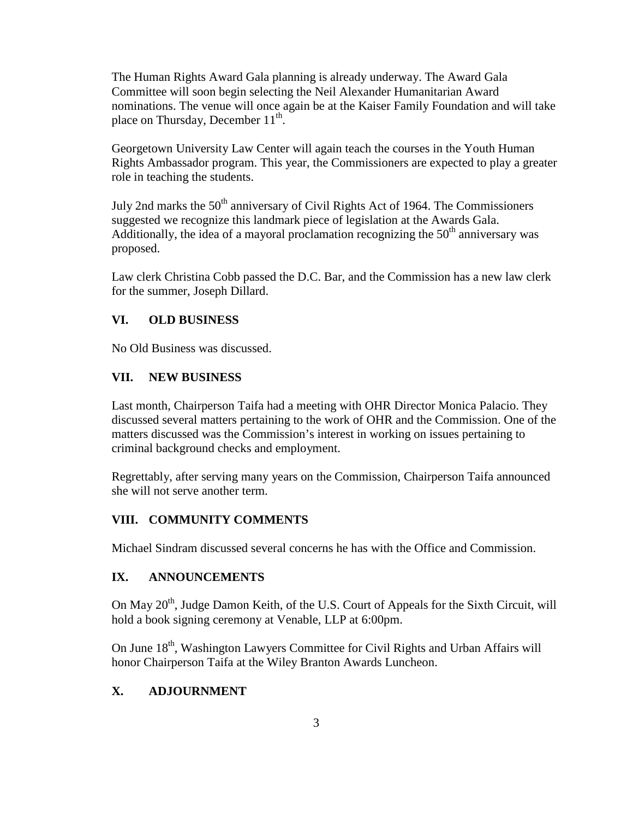The Human Rights Award Gala planning is already underway. The Award Gala Committee will soon begin selecting the Neil Alexander Humanitarian Award nominations. The venue will once again be at the Kaiser Family Foundation and will take place on Thursday, December 11<sup>th</sup>.

Georgetown University Law Center will again teach the courses in the Youth Human Rights Ambassador program. This year, the Commissioners are expected to play a greater role in teaching the students.

July 2nd marks the 50<sup>th</sup> anniversary of Civil Rights Act of 1964. The Commissioners suggested we recognize this landmark piece of legislation at the Awards Gala. Additionally, the idea of a mayoral proclamation recognizing the  $50<sup>th</sup>$  anniversary was proposed.

Law clerk Christina Cobb passed the D.C. Bar, and the Commission has a new law clerk for the summer, Joseph Dillard.

### **VI. OLD BUSINESS**

No Old Business was discussed.

#### **VII. NEW BUSINESS**

Last month, Chairperson Taifa had a meeting with OHR Director Monica Palacio. They discussed several matters pertaining to the work of OHR and the Commission. One of the matters discussed was the Commission's interest in working on issues pertaining to criminal background checks and employment.

Regrettably, after serving many years on the Commission, Chairperson Taifa announced she will not serve another term.

## **VIII. COMMUNITY COMMENTS**

Michael Sindram discussed several concerns he has with the Office and Commission.

### **IX. ANNOUNCEMENTS**

On May  $20<sup>th</sup>$ , Judge Damon Keith, of the U.S. Court of Appeals for the Sixth Circuit, will hold a book signing ceremony at Venable, LLP at 6:00pm.

On June 18<sup>th</sup>, Washington Lawyers Committee for Civil Rights and Urban Affairs will honor Chairperson Taifa at the Wiley Branton Awards Luncheon.

### **X. ADJOURNMENT**